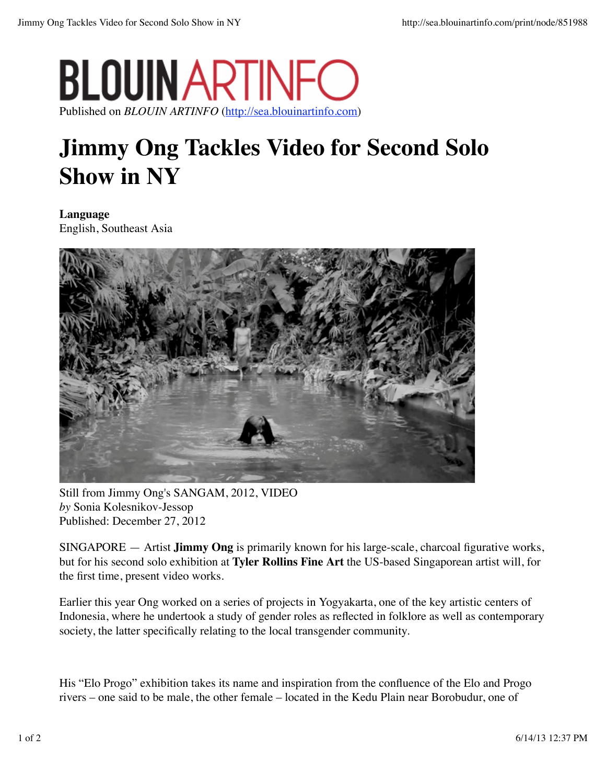## **BLOUIN ARTINF** Published on *BLOUIN ARTINFO* (http://sea.blouinartinfo.com)

## **Jimmy Ong Tackles Video for Second Solo Show in NY**

**Language** English, Southeast Asia



Still from Jimmy Ong's SANGAM, 2012, VIDEO *by* Sonia Kolesnikov-Jessop Published: December 27, 2012

SINGAPORE — Artist **Jimmy Ong** is primarily known for his large-scale, charcoal figurative works, but for his second solo exhibition at **Tyler Rollins Fine Art** the US-based Singaporean artist will, for the first time, present video works.

Earlier this year Ong worked on a series of projects in Yogyakarta, one of the key artistic centers of Indonesia, where he undertook a study of gender roles as reflected in folklore as well as contemporary society, the latter specifically relating to the local transgender community.

His "Elo Progo" exhibition takes its name and inspiration from the confluence of the Elo and Progo rivers – one said to be male, the other female – located in the Kedu Plain near Borobudur, one of